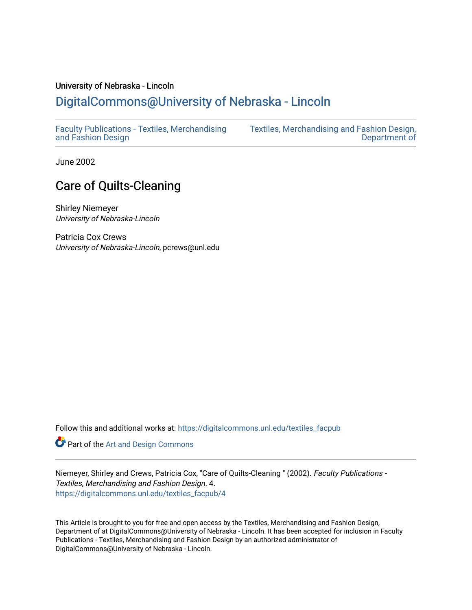## University of Nebraska - Lincoln [DigitalCommons@University of Nebraska - Lincoln](https://digitalcommons.unl.edu/)

[Faculty Publications - Textiles, Merchandising](https://digitalcommons.unl.edu/textiles_facpub)  [and Fashion Design](https://digitalcommons.unl.edu/textiles_facpub) 

[Textiles, Merchandising and Fashion Design,](https://digitalcommons.unl.edu/textiles)  [Department of](https://digitalcommons.unl.edu/textiles) 

June 2002

# Care of Quilts-Cleaning

Shirley Niemeyer University of Nebraska-Lincoln

Patricia Cox Crews University of Nebraska-Lincoln, pcrews@unl.edu

Follow this and additional works at: [https://digitalcommons.unl.edu/textiles\\_facpub](https://digitalcommons.unl.edu/textiles_facpub?utm_source=digitalcommons.unl.edu%2Ftextiles_facpub%2F4&utm_medium=PDF&utm_campaign=PDFCoverPages) 

Part of the [Art and Design Commons](http://network.bepress.com/hgg/discipline/1049?utm_source=digitalcommons.unl.edu%2Ftextiles_facpub%2F4&utm_medium=PDF&utm_campaign=PDFCoverPages)

Niemeyer, Shirley and Crews, Patricia Cox, "Care of Quilts-Cleaning " (2002). Faculty Publications - Textiles, Merchandising and Fashion Design. 4. [https://digitalcommons.unl.edu/textiles\\_facpub/4](https://digitalcommons.unl.edu/textiles_facpub/4?utm_source=digitalcommons.unl.edu%2Ftextiles_facpub%2F4&utm_medium=PDF&utm_campaign=PDFCoverPages) 

This Article is brought to you for free and open access by the Textiles, Merchandising and Fashion Design, Department of at DigitalCommons@University of Nebraska - Lincoln. It has been accepted for inclusion in Faculty Publications - Textiles, Merchandising and Fashion Design by an authorized administrator of DigitalCommons@University of Nebraska - Lincoln.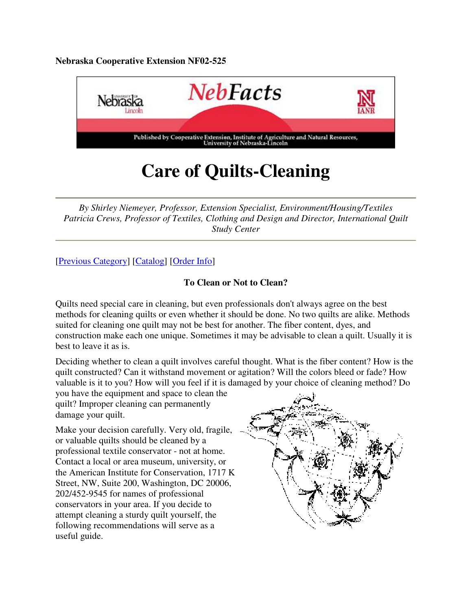**Nebraska Cooperative Extension NF02-525**



# **Care of Quilts-Cleaning**

*By Shirley Niemeyer, Professor, Extension Specialist, Environment/Housing/Textiles Patricia Crews, Professor of Textiles, Clothing and Design and Director, International Quilt Study Center* 

### [Previous Category] [Catalog] [Order Info]

#### **To Clean or Not to Clean?**

Quilts need special care in cleaning, but even professionals don't always agree on the best methods for cleaning quilts or even whether it should be done. No two quilts are alike. Methods suited for cleaning one quilt may not be best for another. The fiber content, dyes, and construction make each one unique. Sometimes it may be advisable to clean a quilt. Usually it is best to leave it as is.

Deciding whether to clean a quilt involves careful thought. What is the fiber content? How is the quilt constructed? Can it withstand movement or agitation? Will the colors bleed or fade? How valuable is it to you? How will you feel if it is damaged by your choice of cleaning method? Do

you have the equipment and space to clean the quilt? Improper cleaning can permanently damage your quilt.

Make your decision carefully. Very old, fragile, or valuable quilts should be cleaned by a professional textile conservator - not at home. Contact a local or area museum, university, or the American Institute for Conservation, 1717 K Street, NW, Suite 200, Washington, DC 20006, 202/452-9545 for names of professional conservators in your area. If you decide to attempt cleaning a sturdy quilt yourself, the following recommendations will serve as a useful guide.

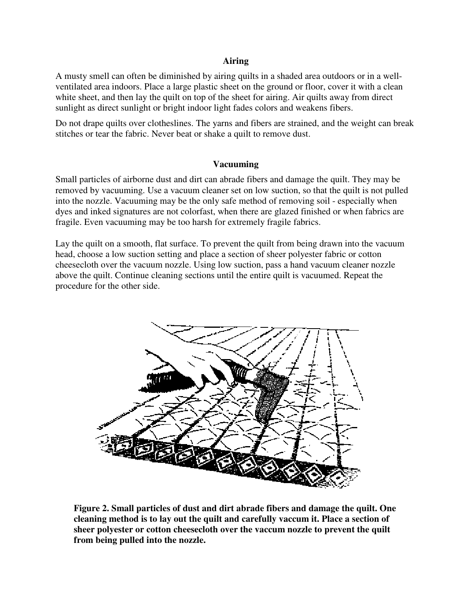#### **Airing**

A musty smell can often be diminished by airing quilts in a shaded area outdoors or in a wellventilated area indoors. Place a large plastic sheet on the ground or floor, cover it with a clean white sheet, and then lay the quilt on top of the sheet for airing. Air quilts away from direct sunlight as direct sunlight or bright indoor light fades colors and weakens fibers.

Do not drape quilts over clotheslines. The yarns and fibers are strained, and the weight can break stitches or tear the fabric. Never beat or shake a quilt to remove dust.

#### **Vacuuming**

Small particles of airborne dust and dirt can abrade fibers and damage the quilt. They may be removed by vacuuming. Use a vacuum cleaner set on low suction, so that the quilt is not pulled into the nozzle. Vacuuming may be the only safe method of removing soil - especially when dyes and inked signatures are not colorfast, when there are glazed finished or when fabrics are fragile. Even vacuuming may be too harsh for extremely fragile fabrics.

Lay the quilt on a smooth, flat surface. To prevent the quilt from being drawn into the vacuum head, choose a low suction setting and place a section of sheer polyester fabric or cotton cheesecloth over the vacuum nozzle. Using low suction, pass a hand vacuum cleaner nozzle above the quilt. Continue cleaning sections until the entire quilt is vacuumed. Repeat the procedure for the other side.



**Figure 2. Small particles of dust and dirt abrade fibers and damage the quilt. One cleaning method is to lay out the quilt and carefully vaccum it. Place a section of sheer polyester or cotton cheesecloth over the vaccum nozzle to prevent the quilt from being pulled into the nozzle.**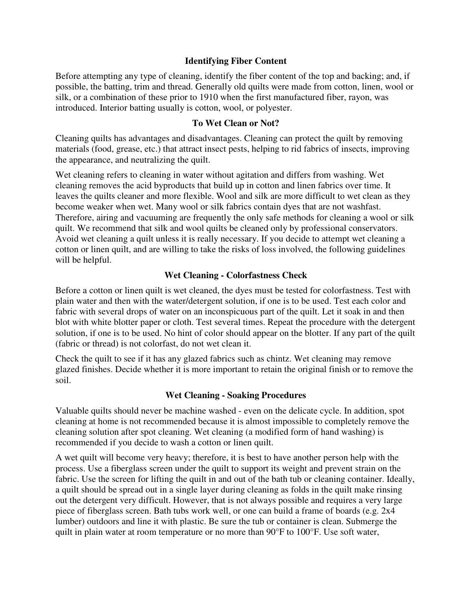#### **Identifying Fiber Content**

Before attempting any type of cleaning, identify the fiber content of the top and backing; and, if possible, the batting, trim and thread. Generally old quilts were made from cotton, linen, wool or silk, or a combination of these prior to 1910 when the first manufactured fiber, rayon, was introduced. Interior batting usually is cotton, wool, or polyester.

#### **To Wet Clean or Not?**

Cleaning quilts has advantages and disadvantages. Cleaning can protect the quilt by removing materials (food, grease, etc.) that attract insect pests, helping to rid fabrics of insects, improving the appearance, and neutralizing the quilt.

Wet cleaning refers to cleaning in water without agitation and differs from washing. Wet cleaning removes the acid byproducts that build up in cotton and linen fabrics over time. It leaves the quilts cleaner and more flexible. Wool and silk are more difficult to wet clean as they become weaker when wet. Many wool or silk fabrics contain dyes that are not washfast. Therefore, airing and vacuuming are frequently the only safe methods for cleaning a wool or silk quilt. We recommend that silk and wool quilts be cleaned only by professional conservators. Avoid wet cleaning a quilt unless it is really necessary. If you decide to attempt wet cleaning a cotton or linen quilt, and are willing to take the risks of loss involved, the following guidelines will be helpful.

#### **Wet Cleaning - Colorfastness Check**

Before a cotton or linen quilt is wet cleaned, the dyes must be tested for colorfastness. Test with plain water and then with the water/detergent solution, if one is to be used. Test each color and fabric with several drops of water on an inconspicuous part of the quilt. Let it soak in and then blot with white blotter paper or cloth. Test several times. Repeat the procedure with the detergent solution, if one is to be used. No hint of color should appear on the blotter. If any part of the quilt (fabric or thread) is not colorfast, do not wet clean it.

Check the quilt to see if it has any glazed fabrics such as chintz. Wet cleaning may remove glazed finishes. Decide whether it is more important to retain the original finish or to remove the soil.

#### **Wet Cleaning - Soaking Procedures**

Valuable quilts should never be machine washed - even on the delicate cycle. In addition, spot cleaning at home is not recommended because it is almost impossible to completely remove the cleaning solution after spot cleaning. Wet cleaning (a modified form of hand washing) is recommended if you decide to wash a cotton or linen quilt.

A wet quilt will become very heavy; therefore, it is best to have another person help with the process. Use a fiberglass screen under the quilt to support its weight and prevent strain on the fabric. Use the screen for lifting the quilt in and out of the bath tub or cleaning container. Ideally, a quilt should be spread out in a single layer during cleaning as folds in the quilt make rinsing out the detergent very difficult. However, that is not always possible and requires a very large piece of fiberglass screen. Bath tubs work well, or one can build a frame of boards (e.g. 2x4 lumber) outdoors and line it with plastic. Be sure the tub or container is clean. Submerge the quilt in plain water at room temperature or no more than 90°F to 100°F. Use soft water,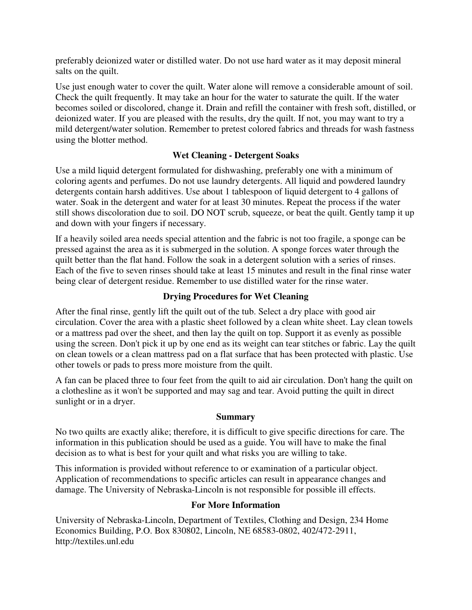preferably deionized water or distilled water. Do not use hard water as it may deposit mineral salts on the quilt.

Use just enough water to cover the quilt. Water alone will remove a considerable amount of soil. Check the quilt frequently. It may take an hour for the water to saturate the quilt. If the water becomes soiled or discolored, change it. Drain and refill the container with fresh soft, distilled, or deionized water. If you are pleased with the results, dry the quilt. If not, you may want to try a mild detergent/water solution. Remember to pretest colored fabrics and threads for wash fastness using the blotter method.

#### **Wet Cleaning - Detergent Soaks**

Use a mild liquid detergent formulated for dishwashing, preferably one with a minimum of coloring agents and perfumes. Do not use laundry detergents. All liquid and powdered laundry detergents contain harsh additives. Use about 1 tablespoon of liquid detergent to 4 gallons of water. Soak in the detergent and water for at least 30 minutes. Repeat the process if the water still shows discoloration due to soil. DO NOT scrub, squeeze, or beat the quilt. Gently tamp it up and down with your fingers if necessary.

If a heavily soiled area needs special attention and the fabric is not too fragile, a sponge can be pressed against the area as it is submerged in the solution. A sponge forces water through the quilt better than the flat hand. Follow the soak in a detergent solution with a series of rinses. Each of the five to seven rinses should take at least 15 minutes and result in the final rinse water being clear of detergent residue. Remember to use distilled water for the rinse water.

#### **Drying Procedures for Wet Cleaning**

After the final rinse, gently lift the quilt out of the tub. Select a dry place with good air circulation. Cover the area with a plastic sheet followed by a clean white sheet. Lay clean towels or a mattress pad over the sheet, and then lay the quilt on top. Support it as evenly as possible using the screen. Don't pick it up by one end as its weight can tear stitches or fabric. Lay the quilt on clean towels or a clean mattress pad on a flat surface that has been protected with plastic. Use other towels or pads to press more moisture from the quilt.

A fan can be placed three to four feet from the quilt to aid air circulation. Don't hang the quilt on a clothesline as it won't be supported and may sag and tear. Avoid putting the quilt in direct sunlight or in a dryer.

#### **Summary**

No two quilts are exactly alike; therefore, it is difficult to give specific directions for care. The information in this publication should be used as a guide. You will have to make the final decision as to what is best for your quilt and what risks you are willing to take.

This information is provided without reference to or examination of a particular object. Application of recommendations to specific articles can result in appearance changes and damage. The University of Nebraska-Lincoln is not responsible for possible ill effects.

#### **For More Information**

University of Nebraska-Lincoln, Department of Textiles, Clothing and Design, 234 Home Economics Building, P.O. Box 830802, Lincoln, NE 68583-0802, 402/472-2911, http://textiles.unl.edu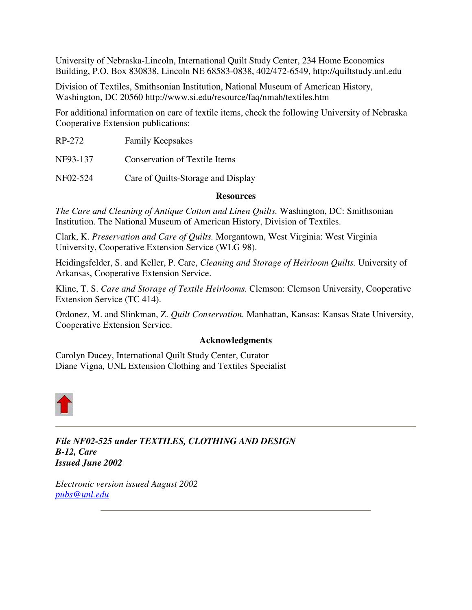University of Nebraska-Lincoln, International Quilt Study Center, 234 Home Economics Building, P.O. Box 830838, Lincoln NE 68583-0838, 402/472-6549, http://quiltstudy.unl.edu

Division of Textiles, Smithsonian Institution, National Museum of American History, Washington, DC 20560 http://www.si.edu/resource/faq/nmah/textiles.htm

For additional information on care of textile items, check the following University of Nebraska Cooperative Extension publications:

| RP-272   | <b>Family Keepsakes</b>            |
|----------|------------------------------------|
| NF93-137 | Conservation of Textile Items      |
| NF02-524 | Care of Quilts-Storage and Display |

#### **Resources**

*The Care and Cleaning of Antique Cotton and Linen Quilts.* Washington, DC: Smithsonian Institution. The National Museum of American History, Division of Textiles.

Clark, K. *Preservation and Care of Quilts.* Morgantown, West Virginia: West Virginia University, Cooperative Extension Service (WLG 98).

Heidingsfelder, S. and Keller, P. Care, *Cleaning and Storage of Heirloom Quilts.* University of Arkansas, Cooperative Extension Service.

Kline, T. S. *Care and Storage of Textile Heirlooms.* Clemson: Clemson University, Cooperative Extension Service (TC 414).

Ordonez, M. and Slinkman, Z. *Quilt Conservation.* Manhattan, Kansas: Kansas State University, Cooperative Extension Service.

#### **Acknowledgments**

Carolyn Ducey, International Quilt Study Center, Curator Diane Vigna, UNL Extension Clothing and Textiles Specialist



*File NF02-525 under TEXTILES, CLOTHING AND DESIGN B-12, Care Issued June 2002*

*Electronic version issued August 2002 pubs@unl.edu*